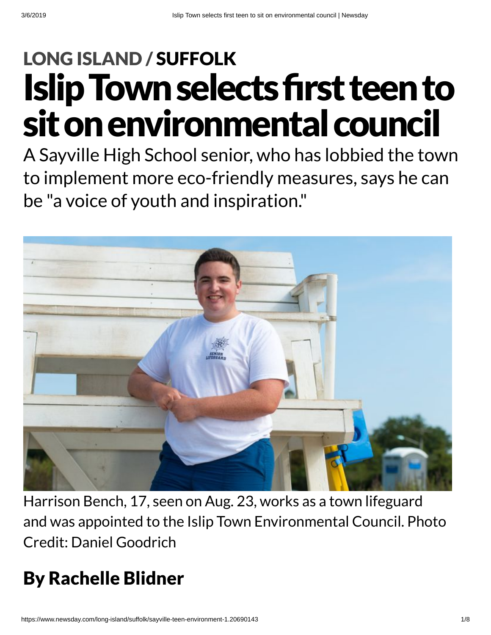# **Islip Town selects first teen to** sit on environmental council LONG [ISLAND](https://www.newsday.com/long-island) / [SUFFOLK](https://www.newsday.com/long-island/suffolk)

A Sayville High School senior, who has lobbied the town to implement more eco-friendly measures, says he can be "a voice of youth and inspiration."



Harrison Bench, 17, seen on Aug. 23, works as a town lifeguard and was appointed to the Islip Town Environmental Council. Photo Credit: Daniel Goodrich

### By Rachelle Blidner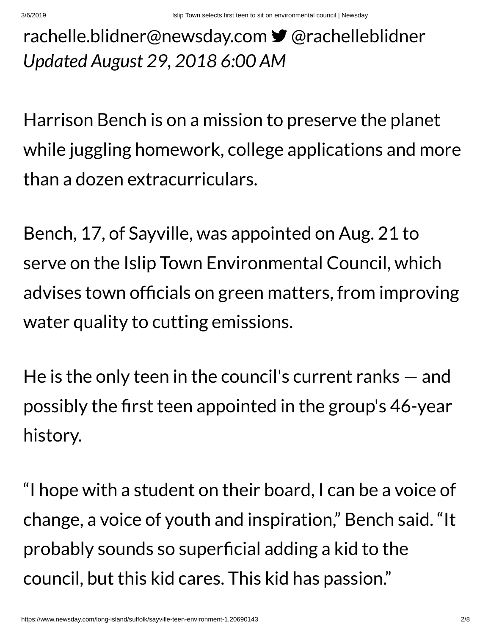### *Updated August 29, 2018 6:00 AM* [rachelle.blidner@newsday.com](mailto:rachelle.blidner@newsday.com?subject=Islip%20Town%20selects%20first%20teen%20to%20sit%20on%20environmental%20council&body=A%20Sayville%20High%20School%20senior,%20who%20has%C2%A0lobbied%20the%20town%20to%20implement%20more%20eco-friendly%20measures,%20says%20he%20can%20be%20%22a%20voice%20of%20youth%20and%20inspiration.%22%0D%0Ahttps://www.newsday.com/long-island/suffolk/sayville-teen-environment-1.20690143) **y** [@rachelleblidner](https://twitter.com/rachelleblidner)

Harrison Bench is on a mission to preserve the planet while juggling homework, college applications and more than a dozen extracurriculars.

Bench, 17, of Sayville, was appointed on Aug. 21 to serve on the Islip Town Environmental Council, which advises town officials on green matters, from improving water quality to cutting emissions.

He is the only teen in the council's current ranks — and possibly the first teen appointed in the group's 46-year history.

"I hope with a student on their board, I can be a voice of change, a voice of youth and inspiration, " Bench said. "It probably sounds so superficial adding a kid to the council, but this kid cares. This kid has passion."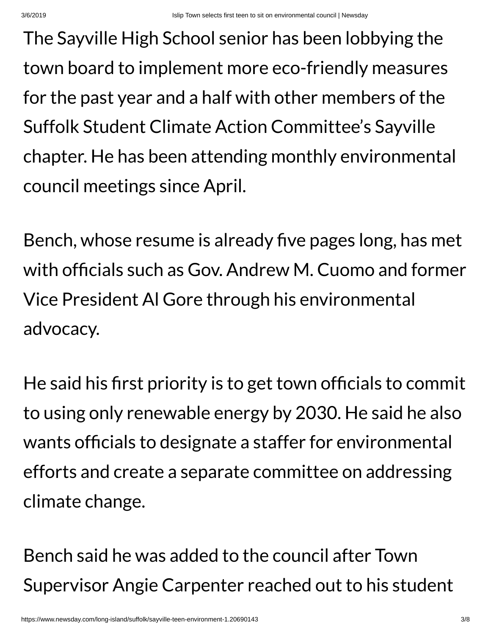The Sayville High School senior has been lobbying the town board to implement more eco-friendly measures for the past year and a half with other members of the Suffolk Student Climate Action Committee's Sayville chapter. He has been attending monthly environmental council meetings since April.

Bench, whose resume is already five pages long, has met with officials such as Gov. Andrew M. Cuomo and former Vice President Al Gore through his environmental advocacy.

He said his first priority is to get town officials to commit to using only renewable energy by 2030. He said he also wants officials to designate a staffer for environmental efforts and create a separate committee on addressing climate change.

Bench said he was added to the council after Town Supervisor Angie Carpenter reached out to his student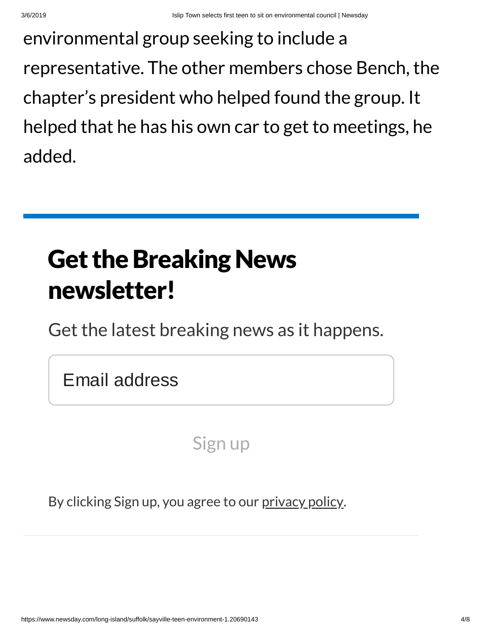environmental group seeking to include a representative. The other members chose Bench, the chapter's president who helped found the group. It helped that he has his own car to get to meetings, he added.

## **Get the Breaking News** newsletter!

Get the latest breaking news as it happens.

Email address

Sign up

By clicking Sign up, you agree to our [privacy](https://www.newsday.com/privacy) policy.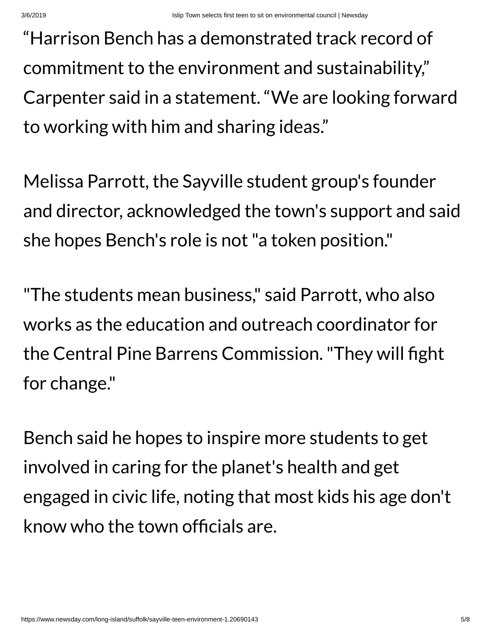"Harrison Bench has a demonstrated track record of commitment to the environment and sustainability, " Carpenter said in a statement. "We are looking forward to working with him and sharing ideas."

Melissa Parrott, the Sayville student group's founder and director, acknowledged the town's support and said she hopes Bench's role is not"a token position."

"The students mean business, " said Parrott, who also works as the education and outreach coordinator for the Central Pine Barrens Commission. "They will fight for change."

Bench said he hopes to inspire more students to get involved in caring for the planet's health and get engaged in civic life, noting that most kids his age don't know who the town officials are.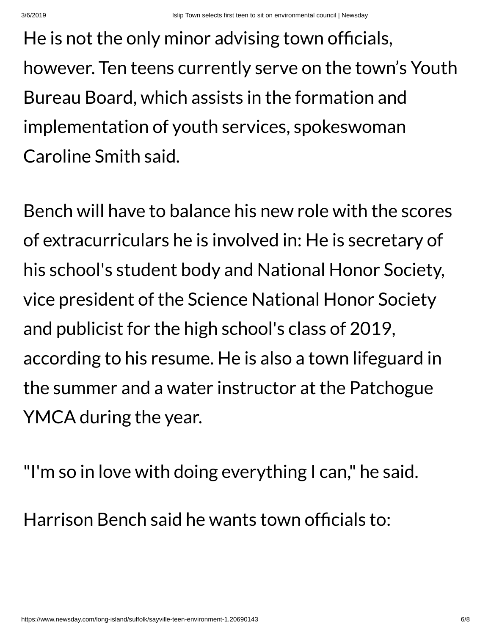He is not the only minor advising town officials, however. Ten teens currently serve on the town's Youth Bureau Board, which assists in the formation and implementation of youth services, spokeswoman Caroline Smith said.

Bench will have to balance his new role with the scores of extracurriculars he is involved in: He is secretary of his school's student body and National Honor Society, vice president of the Science National Honor Society and publicist for the high school's class of 2019, according to his resume. He is also a town lifeguard in the summer and a water instructor at the Patchogue YMCA during the year.

"I'm so in love with doing everything I can, " he said.

Harrison Bench said he wants town officials to: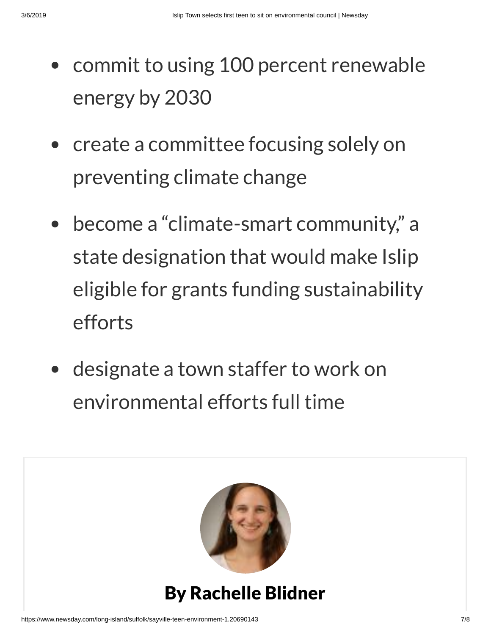- commit to using 100 percent renewable energy by 2030
- create a committee focusing solely on preventing climate change
- become a "climate-smart community, " a state designation that would make Islip eligible for grants funding sustainability efforts
- designate a town staffer to work on environmental efforts full time



#### By Rachelle Blidner